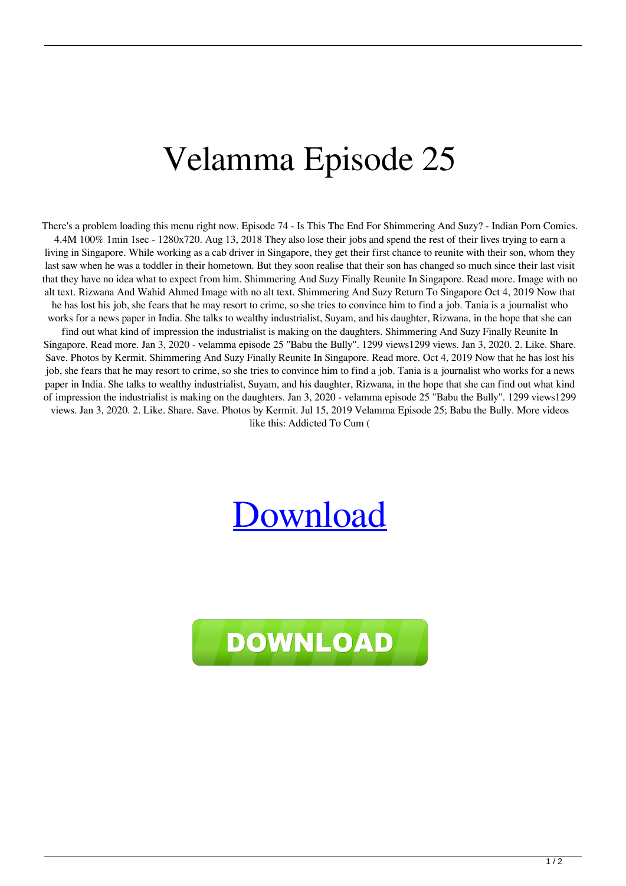## Velamma Episode 25

There's a problem loading this menu right now. Episode 74 - Is This The End For Shimmering And Suzy? - Indian Porn Comics. 4.4M 100% 1min 1sec - 1280x720. Aug 13, 2018 They also lose their jobs and spend the rest of their lives trying to earn a living in Singapore. While working as a cab driver in Singapore, they get their first chance to reunite with their son, whom they last saw when he was a toddler in their hometown. But they soon realise that their son has changed so much since their last visit that they have no idea what to expect from him. Shimmering And Suzy Finally Reunite In Singapore. Read more. Image with no alt text. Rizwana And Wahid Ahmed Image with no alt text. Shimmering And Suzy Return To Singapore Oct 4, 2019 Now that he has lost his job, she fears that he may resort to crime, so she tries to convince him to find a job. Tania is a journalist who works for a news paper in India. She talks to wealthy industrialist, Suyam, and his daughter, Rizwana, in the hope that she can find out what kind of impression the industrialist is making on the daughters. Shimmering And Suzy Finally Reunite In Singapore. Read more. Jan 3, 2020 - velamma episode 25 "Babu the Bully". 1299 views1299 views. Jan 3, 2020. 2. Like. Share. Save. Photos by Kermit. Shimmering And Suzy Finally Reunite In Singapore. Read more. Oct 4, 2019 Now that he has lost his job, she fears that he may resort to crime, so she tries to convince him to find a job. Tania is a journalist who works for a news paper in India. She talks to wealthy industrialist, Suyam, and his daughter, Rizwana, in the hope that she can find out what kind of impression the industrialist is making on the daughters. Jan 3, 2020 - velamma episode 25 "Babu the Bully". 1299 views1299 views. Jan 3, 2020. 2. Like. Share. Save. Photos by Kermit. Jul 15, 2019 Velamma Episode 25; Babu the Bully. More videos like this: Addicted To Cum (

## [Download](http://evacdir.com/VmVsYW1tYSBlcGlzb2RlIDI1VmV.berninger/anclote/closure/dogmatic/owned.ZG93bmxvYWR8OFpMTVdveE5IeDhNVFkxTWpjME1EZzJObng4TWpVM05IeDhLRTBwSUhKbFlXUXRZbXh2WnlCYlJtRnpkQ0JIUlU1ZA?heartening)